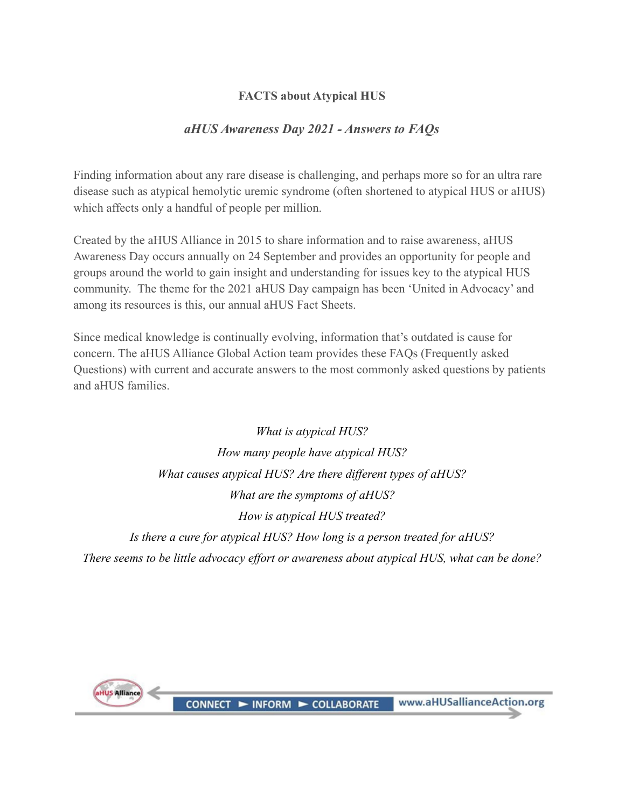# **FACTS about Atypical HUS**

# *aHUS Awareness Day 2021 - Answers to FAQs*

Finding information about any rare disease is challenging, and perhaps more so for an ultra rare disease such as atypical hemolytic uremic syndrome (often shortened to atypical HUS or aHUS) which affects only a handful of people per million.

Created by the aHUS Alliance in 2015 to share information and to raise awareness, aHUS Awareness Day occurs annually on 24 September and provides an opportunity for people and groups around the world to gain insight and understanding for issues key to the atypical HUS community. The theme for the 2021 aHUS Day campaign has been 'United in Advocacy' and among its resources is this, our annual aHUS Fact Sheets.

Since medical knowledge is continually evolving, information that's outdated is cause for concern. The aHUS Alliance Global Action team provides these FAQs (Frequently asked Questions) with current and accurate answers to the most commonly asked questions by patients and aHUS families.

*What is atypical HUS? How many people have atypical HUS? What causes atypical HUS? Are there different types of aHUS? What are the symptoms of aHUS? How is atypical HUS treated? Is there a cure for atypical HUS? How long is a person treated for aHUS? There seems to be little advocacy effort or awareness about atypical HUS, what can be done?*

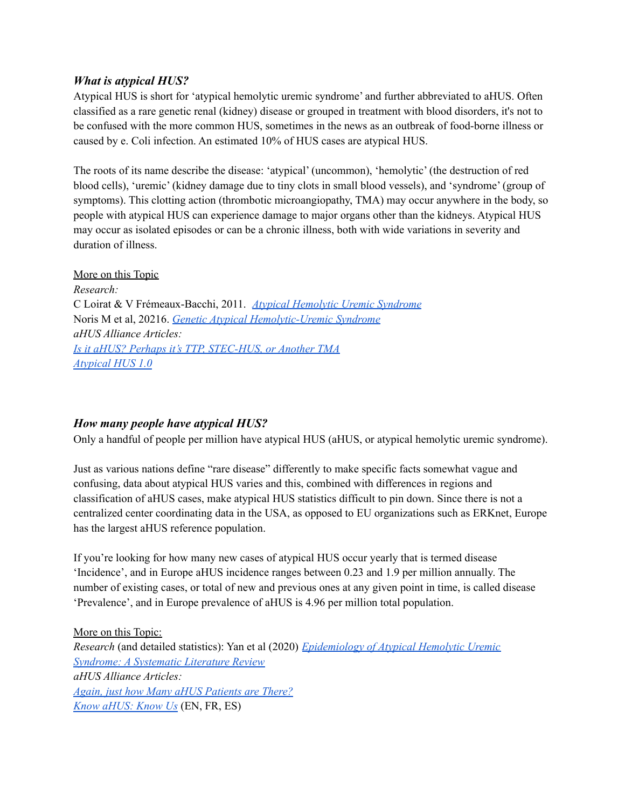### *What is atypical HUS?*

Atypical HUS is short for 'atypical hemolytic uremic syndrome' and further abbreviated to aHUS. Often classified as a rare genetic renal (kidney) disease or grouped in treatment with blood disorders, it's not to be confused with the more common HUS, sometimes in the news as an outbreak of food-borne illness or caused by e. Coli infection. An estimated 10% of HUS cases are atypical HUS.

The roots of its name describe the disease: 'atypical' (uncommon), 'hemolytic' (the destruction of red blood cells), 'uremic' (kidney damage due to tiny clots in small blood vessels), and 'syndrome' (group of symptoms). This clotting action (thrombotic microangiopathy, TMA) may occur anywhere in the body, so people with atypical HUS can experience damage to major organs other than the kidneys. Atypical HUS may occur as isolated episodes or can be a chronic illness, both with wide variations in severity and duration of illness.

### More on this Topic

*Research:* C Loirat & V Frémeaux-Bacchi, 2011. *Atypical [Hemolytic](https://www.ncbi.nlm.nih.gov/pmc/articles/PMC3198674/) Uremic Syndrome* Noris M et al, 20216. *Genetic Atypical [Hemolytic-Uremic](https://www.ncbi.nlm.nih.gov/books/NBK1367/) Syndrome aHUS Alliance Articles: Is it aHUS? Perhaps it's TTP, [STEC-HUS,](https://www.ahusallianceaction.org/ahus-perhaps-ttp-stec-hus-another-tma/) or Another TMA [Atypical](https://www.ahusallianceaction.org/atypical-hus-1-0/) HUS 1.0*

### *How many people have atypical HUS?*

Only a handful of people per million have atypical HUS (aHUS, or atypical hemolytic uremic syndrome).

Just as various nations define "rare disease" differently to make specific facts somewhat vague and confusing, data about atypical HUS varies and this, combined with differences in regions and classification of aHUS cases, make atypical HUS statistics difficult to pin down. Since there is not a centralized center coordinating data in the USA, as opposed to EU organizations such as ERKnet, Europe has the largest aHUS reference population.

If you're looking for how many new cases of atypical HUS occur yearly that is termed disease 'Incidence', and in Europe aHUS incidence ranges between 0.23 and 1.9 per million annually. The number of existing cases, or total of new and previous ones at any given point in time, is called disease 'Prevalence', and in Europe prevalence of aHUS is 4.96 per million total population.

More on this Topic: *Research* (and detailed statistics): Yan et al (2020) *[Epidemiology](https://www.ncbi.nlm.nih.gov/pmc/articles/PMC7075343/) of Atypical Hemolytic Uremic [Syndrome:](https://www.ncbi.nlm.nih.gov/pmc/articles/PMC7075343/) A Systematic Literature Review aHUS Alliance Articles: Again, just how Many aHUS [Patients](https://www.ahusallianceaction.org/again-just-how-many-ahus-patients-are-there/) are There? Know [aHUS:](https://www.ahusallianceaction.org/know-ahus-know-us/) Know Us* (EN, FR, ES)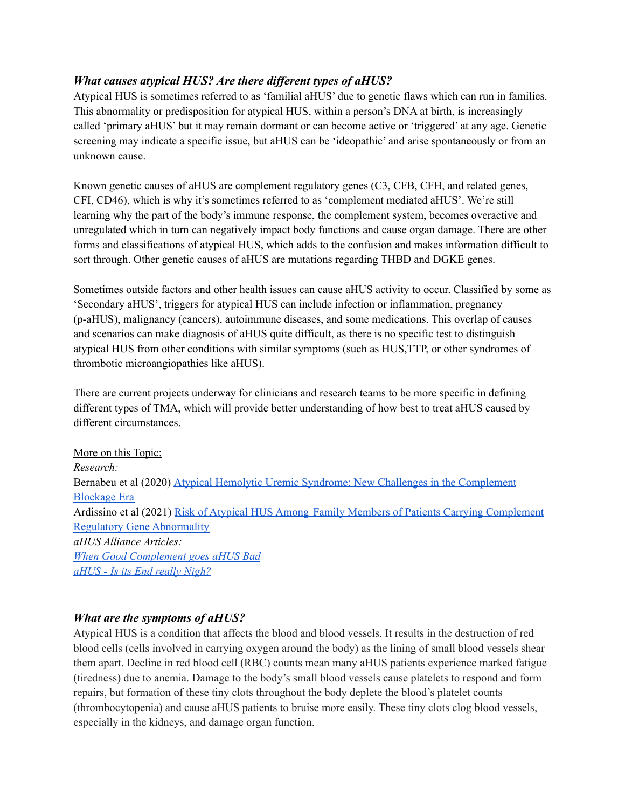# *What causes atypical HUS? Are there different types of aHUS?*

Atypical HUS is sometimes referred to as 'familial aHUS' due to genetic flaws which can run in families. This abnormality or predisposition for atypical HUS, within a person's DNA at birth, is increasingly called 'primary aHUS' but it may remain dormant or can become active or 'triggered' at any age. Genetic screening may indicate a specific issue, but aHUS can be 'ideopathic' and arise spontaneously or from an unknown cause.

Known genetic causes of aHUS are complement regulatory genes (C3, CFB, CFH, and related genes, CFI, CD46), which is why it's sometimes referred to as 'complement mediated aHUS'. We're still learning why the part of the body's immune response, the complement system, becomes overactive and unregulated which in turn can negatively impact body functions and cause organ damage. There are other forms and classifications of atypical HUS, which adds to the confusion and makes information difficult to sort through. Other genetic causes of aHUS are mutations regarding THBD and DGKE genes.

Sometimes outside factors and other health issues can cause aHUS activity to occur. Classified by some as 'Secondary aHUS', triggers for atypical HUS can include infection or inflammation, pregnancy (p-aHUS), malignancy (cancers), autoimmune diseases, and some medications. This overlap of causes and scenarios can make diagnosis of aHUS quite difficult, as there is no specific test to distinguish atypical HUS from other conditions with similar symptoms (such as HUS,TTP, or other syndromes of thrombotic microangiopathies like aHUS).

There are current projects underway for clinicians and research teams to be more specific in defining different types of TMA, which will provide better understanding of how best to treat aHUS caused by different circumstances.

More on this Topic: *Research:* Bernabeu et al (2020) Atypical Hemolytic Uremic Syndrome: New Challenges in the [Complement](https://www.karger.com/Article/FullText/508920) [Blockage](https://www.karger.com/Article/FullText/508920) Era Ardissino et al (2021) Risk of Atypical HUS Among Family Members of Patients Carrying [Complement](https://www.kireports.org/article/S2468-0249(21)01033-0/fulltext) Regulatory Gene [Abnormality](https://www.kireports.org/article/S2468-0249(21)01033-0/fulltext) *aHUS Alliance Articles: When Good [Complement](https://www.ahusallianceaction.org/when-good-complement-goes-ahus-bad/) goes aHUS Bad aHUS - Is its End really [Nigh?](https://www.ahusallianceaction.org/ahus-is-its-end-really-nigh-3/)*

## *What are the symptoms of aHUS?*

Atypical HUS is a condition that affects the blood and blood vessels. It results in the destruction of red blood cells (cells involved in carrying oxygen around the body) as the lining of small blood vessels shear them apart. Decline in red blood cell (RBC) counts mean many aHUS patients experience marked fatigue (tiredness) due to anemia. Damage to the body's small blood vessels cause platelets to respond and form repairs, but formation of these tiny clots throughout the body deplete the blood's platelet counts (thrombocytopenia) and cause aHUS patients to bruise more easily. These tiny clots clog blood vessels, especially in the kidneys, and damage organ function.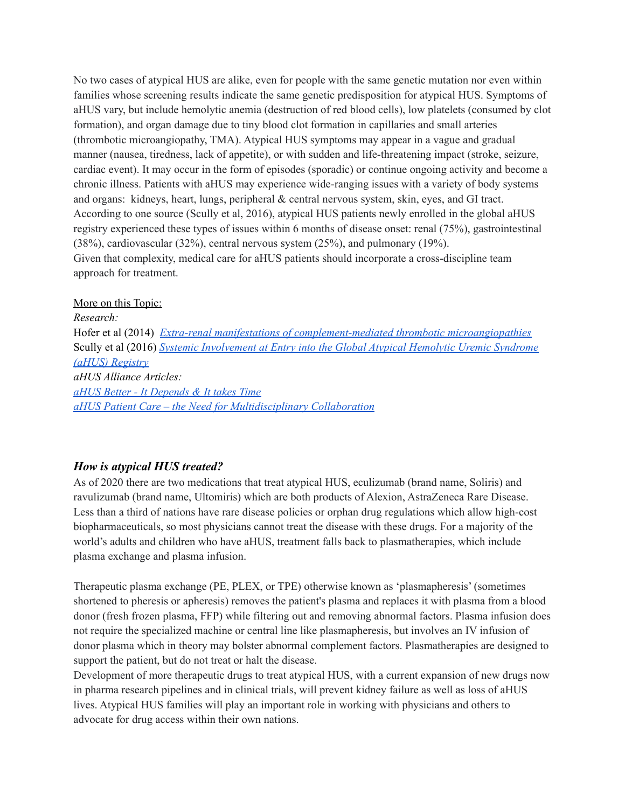No two cases of atypical HUS are alike, even for people with the same genetic mutation nor even within families whose screening results indicate the same genetic predisposition for atypical HUS. Symptoms of aHUS vary, but include hemolytic anemia (destruction of red blood cells), low platelets (consumed by clot formation), and organ damage due to tiny blood clot formation in capillaries and small arteries (thrombotic microangiopathy, TMA). Atypical HUS symptoms may appear in a vague and gradual manner (nausea, tiredness, lack of appetite), or with sudden and life-threatening impact (stroke, seizure, cardiac event). It may occur in the form of episodes (sporadic) or continue ongoing activity and become a chronic illness. Patients with aHUS may experience wide-ranging issues with a variety of body systems and organs: kidneys, heart, lungs, peripheral & central nervous system, skin, eyes, and GI tract. According to one source (Scully et al, 2016), atypical HUS patients newly enrolled in the global aHUS registry experienced these types of issues within 6 months of disease onset: renal (75%), gastrointestinal (38%), cardiovascular (32%), central nervous system (25%), and pulmonary (19%). Given that complexity, medical care for aHUS patients should incorporate a cross-discipline team approach for treatment.

#### More on this Topic:

*Research:* Hofer et al (2014) *Extra-renal manifestations of [complement-mediated](https://www.frontiersin.org/articles/10.3389/fped.2014.00097/full) thrombotic microangiopathies* Scully et al (2016) *Systemic [Involvement](https://ashpublications.org/blood/article/128/22/3729/97075/Systemic-Involvement-at-Entry-into-the-Global) at Entry into the Global Atypical Hemolytic Uremic Syndrome (aHUS) [Registry](https://ashpublications.org/blood/article/128/22/3729/97075/Systemic-Involvement-at-Entry-into-the-Global) aHUS Alliance Articles: aHUS Better - It [Depends](https://www.ahusallianceaction.org/ahus-better-it-depends-and-takes-time/) & It takes Time aHUS Patient Care – the Need for [Multidisciplinary](https://www.ahusallianceaction.org/ahus-patient-care-multidisciplinary-collaboration-translational-medicine/) Collaboration*

## *How is atypical HUS treated?*

As of 2020 there are two medications that treat atypical HUS, eculizumab (brand name, Soliris) and ravulizumab (brand name, Ultomiris) which are both products of Alexion, AstraZeneca Rare Disease. Less than a third of nations have rare disease policies or orphan drug regulations which allow high-cost biopharmaceuticals, so most physicians cannot treat the disease with these drugs. For a majority of the world's adults and children who have aHUS, treatment falls back to plasmatherapies, which include plasma exchange and plasma infusion.

Therapeutic plasma exchange (PE, PLEX, or TPE) otherwise known as 'plasmapheresis' (sometimes shortened to pheresis or apheresis) removes the patient's plasma and replaces it with plasma from a blood donor (fresh frozen plasma, FFP) while filtering out and removing abnormal factors. Plasma infusion does not require the specialized machine or central line like plasmapheresis, but involves an IV infusion of donor plasma which in theory may bolster abnormal complement factors. Plasmatherapies are designed to support the patient, but do not treat or halt the disease.

Development of more therapeutic drugs to treat atypical HUS, with a current expansion of new drugs now in pharma research pipelines and in clinical trials, will prevent kidney failure as well as loss of aHUS lives. Atypical HUS families will play an important role in working with physicians and others to advocate for drug access within their own nations.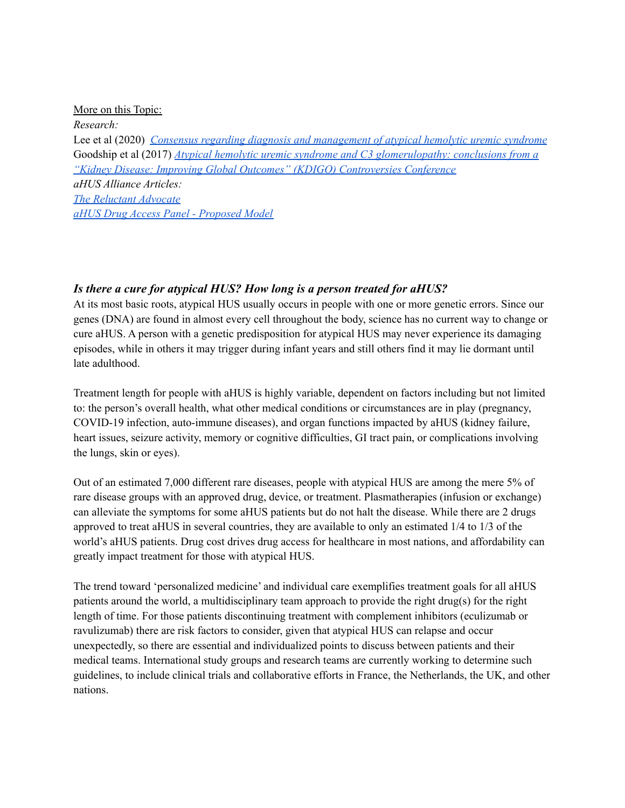#### More on this Topic:

*Research:*

Lee et al (2020) *Consensus regarding diagnosis and [management](https://www.ncbi.nlm.nih.gov/pmc/articles/PMC6960041/) of atypical hemolytic uremic syndrome* Goodship et al (2017) *Atypical hemolytic uremic syndrome and C3 [glomerulopathy:](https://www.kidney-international.org/article/S0085-2538(16)30604-4/fulltext) conclusions from a "Kidney Disease: Improving Global Outcomes" (KDIGO) [Controversies](https://www.kidney-international.org/article/S0085-2538(16)30604-4/fulltext) Conference aHUS Alliance Articles: The [Reluctant](https://www.ahusallianceaction.org/a-reluctant-advocate/) Advocate aHUS Drug Access Panel - [Proposed](https://www.ahusallianceaction.org/south-african-pediatric-nephrology-need-for-a-global-panel-for-ahus-drug-access/) Model*

## *Is there a cure for atypical HUS? How long is a person treated for aHUS?*

At its most basic roots, atypical HUS usually occurs in people with one or more genetic errors. Since our genes (DNA) are found in almost every cell throughout the body, science has no current way to change or cure aHUS. A person with a genetic predisposition for atypical HUS may never experience its damaging episodes, while in others it may trigger during infant years and still others find it may lie dormant until late adulthood.

Treatment length for people with aHUS is highly variable, dependent on factors including but not limited to: the person's overall health, what other medical conditions or circumstances are in play (pregnancy, COVID-19 infection, auto-immune diseases), and organ functions impacted by aHUS (kidney failure, heart issues, seizure activity, memory or cognitive difficulties, GI tract pain, or complications involving the lungs, skin or eyes).

Out of an estimated 7,000 different rare diseases, people with atypical HUS are among the mere 5% of rare disease groups with an approved drug, device, or treatment. Plasmatherapies (infusion or exchange) can alleviate the symptoms for some aHUS patients but do not halt the disease. While there are 2 drugs approved to treat aHUS in several countries, they are available to only an estimated 1/4 to 1/3 of the world's aHUS patients. Drug cost drives drug access for healthcare in most nations, and affordability can greatly impact treatment for those with atypical HUS.

The trend toward 'personalized medicine' and individual care exemplifies treatment goals for all aHUS patients around the world, a multidisciplinary team approach to provide the right drug(s) for the right length of time. For those patients discontinuing treatment with complement inhibitors (eculizumab or ravulizumab) there are risk factors to consider, given that atypical HUS can relapse and occur unexpectedly, so there are essential and individualized points to discuss between patients and their medical teams. International study groups and research teams are currently working to determine such guidelines, to include clinical trials and collaborative efforts in France, the Netherlands, the UK, and other nations.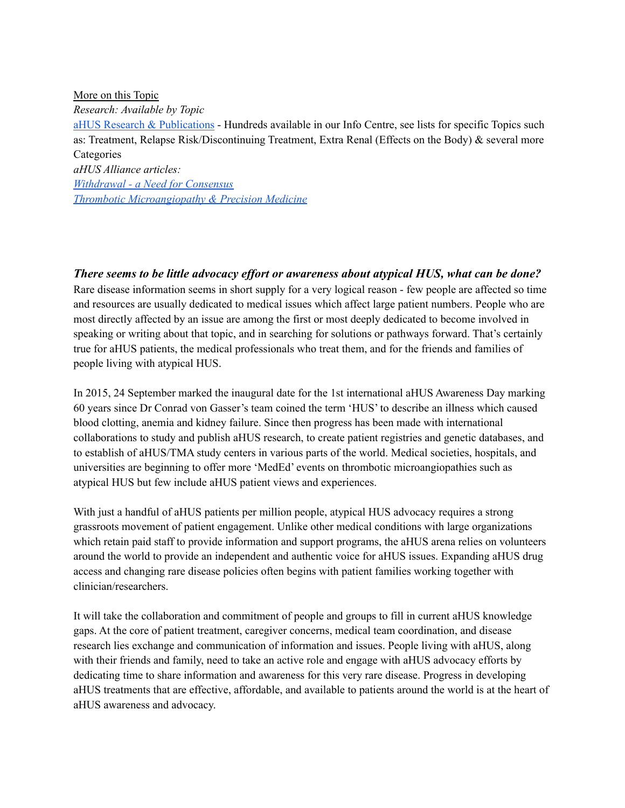More on this Topic

*Research: Available by Topic*

aHUS Research & [Publications](https://www.ahusallianceaction.org/research-publications/) - Hundreds available in our Info Centre, see lists for specific Topics such as: Treatment, Relapse Risk/Discontinuing Treatment, Extra Renal (Effects on the Body) & several more **Categories** 

*aHUS Alliance articles:*

*[Withdrawal](https://www.ahusallianceaction.org/withdrawal-need-for-a-consensus/) - a Need for Consensus*

*Thrombotic [Microangiopathy](https://www.ahusallianceaction.org/thrombotic-microangiopathy-precision-medicine/) & Precision Medicine*

*There seems to be little advocacy effort or awareness about atypical HUS, what can be done?* Rare disease information seems in short supply for a very logical reason - few people are affected so time and resources are usually dedicated to medical issues which affect large patient numbers. People who are most directly affected by an issue are among the first or most deeply dedicated to become involved in speaking or writing about that topic, and in searching for solutions or pathways forward. That's certainly true for aHUS patients, the medical professionals who treat them, and for the friends and families of people living with atypical HUS.

In 2015, 24 September marked the inaugural date for the 1st international aHUS Awareness Day marking 60 years since Dr Conrad von Gasser's team coined the term 'HUS' to describe an illness which caused blood clotting, anemia and kidney failure. Since then progress has been made with international collaborations to study and publish aHUS research, to create patient registries and genetic databases, and to establish of aHUS/TMA study centers in various parts of the world. Medical societies, hospitals, and universities are beginning to offer more 'MedEd' events on thrombotic microangiopathies such as atypical HUS but few include aHUS patient views and experiences.

With just a handful of aHUS patients per million people, atypical HUS advocacy requires a strong grassroots movement of patient engagement. Unlike other medical conditions with large organizations which retain paid staff to provide information and support programs, the aHUS arena relies on volunteers around the world to provide an independent and authentic voice for aHUS issues. Expanding aHUS drug access and changing rare disease policies often begins with patient families working together with clinician/researchers.

It will take the collaboration and commitment of people and groups to fill in current aHUS knowledge gaps. At the core of patient treatment, caregiver concerns, medical team coordination, and disease research lies exchange and communication of information and issues. People living with aHUS, along with their friends and family, need to take an active role and engage with aHUS advocacy efforts by dedicating time to share information and awareness for this very rare disease. Progress in developing aHUS treatments that are effective, affordable, and available to patients around the world is at the heart of aHUS awareness and advocacy.